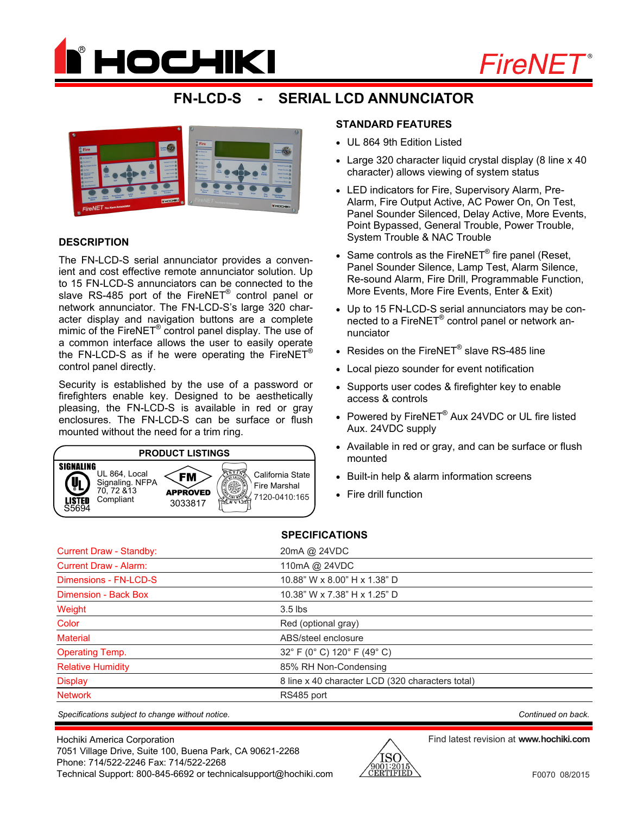



# **FN-LCD-S - SERIAL LCD ANNUNCIATOR**



### **DESCRIPTION**

The FN-LCD-S serial annunciator provides a convenient and cost effective remote annunciator solution. Up to 15 FN-LCD-S annunciators can be connected to the slave RS-485 port of the FireNET<sup>®</sup> control panel or network annunciator. The FN-LCD-S's large 320 character display and navigation buttons are a complete mimic of the FireNET<sup>®</sup> control panel display. The use of a common interface allows the user to easily operate the FN-LCD-S as if he were operating the FireNET<sup>®</sup> control panel directly.

Security is established by the use of a password or firefighters enable key. Designed to be aesthetically pleasing, the FN-LCD-S is available in red or gray enclosures. The FN-LCD-S can be surface or flush mounted without the need for a trim ring.



#### **STANDARD FEATURES**

- UL 864 9th Edition Listed
- Large 320 character liquid crystal display (8 line x 40) character) allows viewing of system status
- LED indicators for Fire, Supervisory Alarm, Pre-Alarm, Fire Output Active, AC Power On, On Test, Panel Sounder Silenced, Delay Active, More Events, Point Bypassed, General Trouble, Power Trouble, System Trouble & NAC Trouble
- Same controls as the FireNET<sup>®</sup> fire panel (Reset, Panel Sounder Silence, Lamp Test, Alarm Silence, Re-sound Alarm, Fire Drill, Programmable Function, More Events, More Fire Events, Enter & Exit)
- Up to 15 FN-LCD-S serial annunciators may be connected to a FireNET® control panel or network annunciator
- Resides on the FireNET® slave RS-485 line
- Local piezo sounder for event notification
- Supports user codes & firefighter key to enable access & controls
- Powered by FireNET® Aux 24VDC or UL fire listed Aux. 24VDC supply
- Available in red or gray, and can be surface or flush mounted
- Built-in help & alarm information screens
- Fire drill function

#### **SPECIFICATIONS**

| <b>Current Draw - Standby:</b> | 20mA @ 24VDC                                     |
|--------------------------------|--------------------------------------------------|
| <b>Current Draw - Alarm:</b>   | 110mA @ 24VDC                                    |
| Dimensions - FN-LCD-S          | 10.88" W x 8.00" H x 1.38" D                     |
| Dimension - Back Box           | 10.38" W x 7.38" H x 1.25" D                     |
| Weight                         | $3.5$ lbs                                        |
| Color                          | Red (optional gray)                              |
| <b>Material</b>                | ABS/steel enclosure                              |
| <b>Operating Temp.</b>         | 32° F (0° C) 120° F (49° C)                      |
| <b>Relative Humidity</b>       | 85% RH Non-Condensing                            |
| <b>Display</b>                 | 8 line x 40 character LCD (320 characters total) |
| <b>Network</b>                 | RS485 port                                       |

*Specifications subject to change without notice. Continued on back.*

Hochiki America Corporation 7051 Village Drive, Suite 100, Buena Park, CA 90621-2268 Phone: 714/522-2246 Fax: 714/522-2268 Technical Support: 800-845-6692 or technicalsupport@hochiki.com



Find latest revision at **www.hochiki.com**